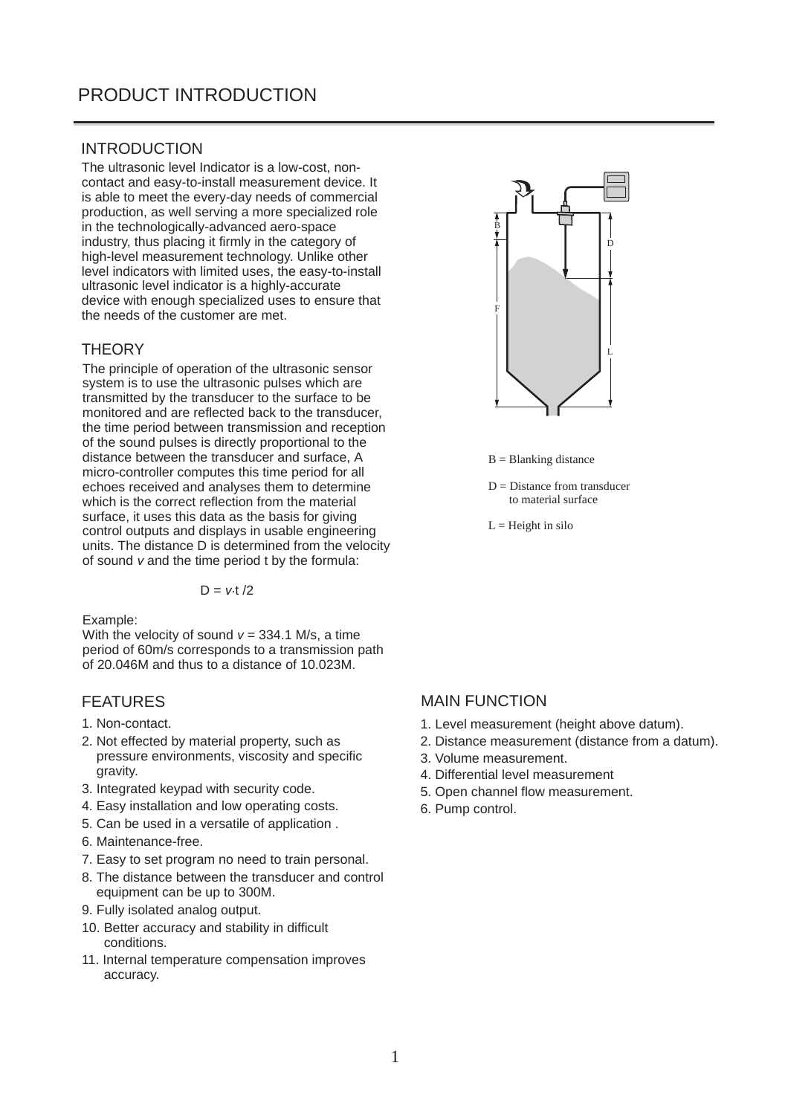## INTRODUCTION

The ultrasonic level Indicator is a low-cost, noncontact and easy-to-install measurement device. It is able to meet the every-day needs of commercial production, as well serving a more specialized role in the technologically-advanced aero-space industry, thus placing it firmly in the category of high-level measurement technology. Unlike other level indicators with limited uses, the easy-to-install ultrasonic level indicator is a highly-accurate device with enough specialized uses to ensure that the needs of the customer are met.

## **THEORY**

The principle of operation of the ultrasonic sensor system is to use the ultrasonic pulses which are transmitted by the transducer to the surface to be monitored and are reflected back to the transducer, the time period between transmission and reception of the sound pulses is directly proportional to the distance between the transducer and surface, A micro-controller computes this time period for all echoes received and analyses them to determine which is the correct reflection from the material surface, it uses this data as the basis for giving control outputs and displays in usable engineering units. The distance D is determined from the velocity of sound v and the time period t by the formula:

 $D = v \cdot t / 2$ 

Example:

With the velocity of sound  $v = 334.1$  M/s, a time period of 60m/s corresponds to a transmission path of 20.046M and thus to a distance of 10.023M.

### FEATURES

- 1. Non-contact.
- 2. Not effected by material property, such as pressure environments, viscosity and specific gravity.
- 3. Integrated keypad with security code.
- 4. Easy installation and low operating costs.
- 5. Can be used in a versatile of application .
- 6. Maintenance-free.
- 7. Easy to set program no need to train personal.
- 8. The distance between the transducer and control equipment can be up to 300M.
- 9. Fully isolated analog output.
- 10. Better accuracy and stability in difficult conditions.
- 11. Internal temperature compensation improves accuracy.



 $B = Blanking distance$ 

- $D = Distance from transducer$ to material surface
- $L =$  Height in silo

## MAIN FUNCTION

- 1. Level measurement (height above datum).
- 2. Distance measurement (distance from a datum).
- 3. Volume measurement.
- 4. Differential level measurement
- 5. Open channel flow measurement.
- 6. Pump control.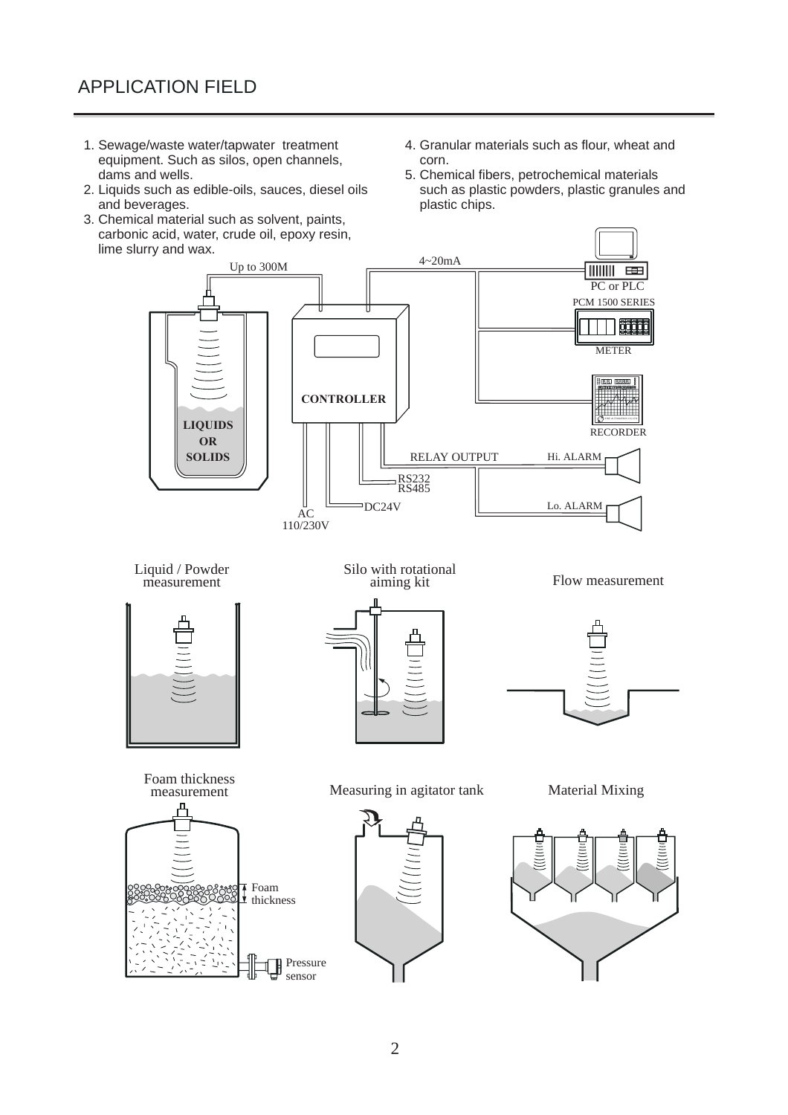- 1. Sewage/waste water/tapwater treatment equipment. Such as silos, open channels, dams and wells.
- 2. Liquids such as edible-oils, sauces, diesel oils and beverages.
- 3. Chemical material such as solvent, paints, carbonic acid, water, crude oil, epoxy resin, lime slurry and wax.
- 4. Granular materials such as flour, wheat and corn.
- 5. Chemical fibers, petrochemical materials such as plastic powders, plastic granules and plastic chips.

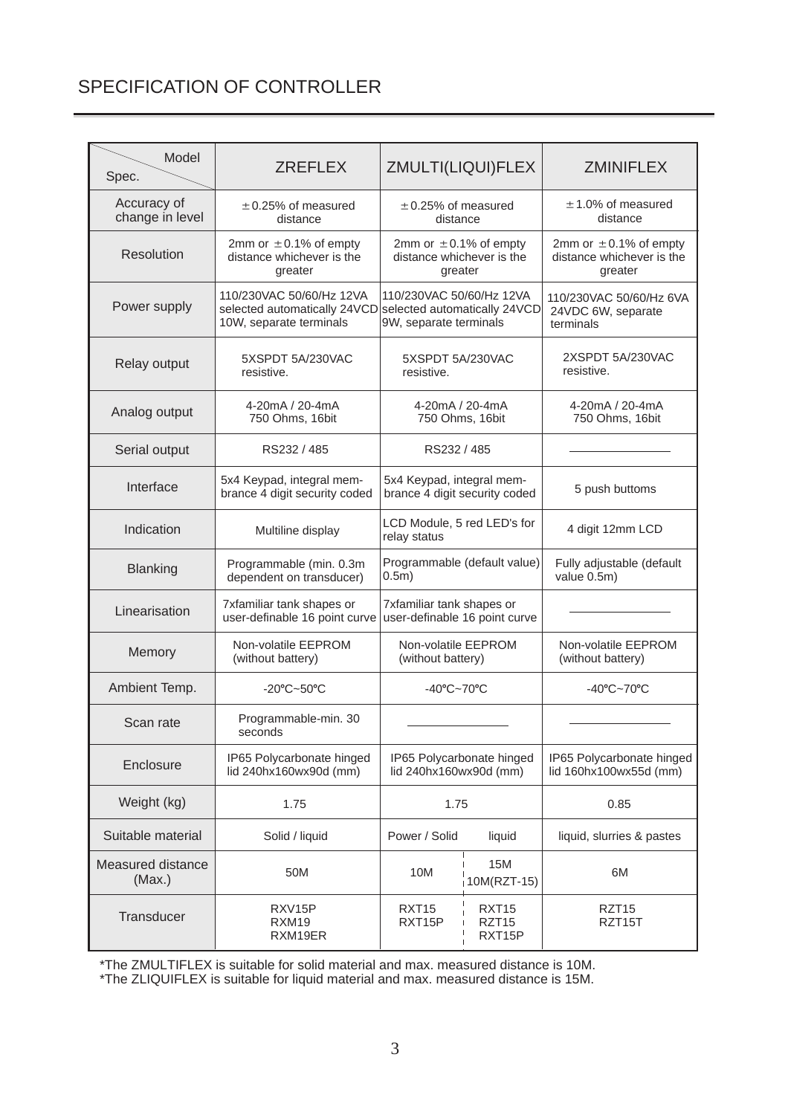# SPECIFICATION OF CONTROLLER

| Model<br>Spec.                 | <b>ZREFLEX</b>                                                                                                   | ZMULTI(LIQUI)FLEX                                                          |  | <b>ZMINIFLEX</b>                                                   |  |
|--------------------------------|------------------------------------------------------------------------------------------------------------------|----------------------------------------------------------------------------|--|--------------------------------------------------------------------|--|
| Accuracy of<br>change in level | $\pm$ 0.25% of measured<br>distance                                                                              | $\pm$ 0.25% of measured<br>distance                                        |  | $\pm$ 1.0% of measured<br>distance                                 |  |
| Resolution                     | 2mm or $\pm$ 0.1% of empty<br>distance whichever is the<br>greater                                               | 2mm or $\pm$ 0.1% of empty<br>distance whichever is the<br>greater         |  | 2mm or $\pm$ 0.1% of empty<br>distance whichever is the<br>greater |  |
| Power supply                   | 110/230VAC 50/60/Hz 12VA<br>selected automatically 24VCD selected automatically 24VCD<br>10W, separate terminals | 110/230VAC 50/60/Hz 12VA<br>9W, separate terminals                         |  | 110/230VAC 50/60/Hz 6VA<br>24VDC 6W, separate<br>terminals         |  |
| Relay output                   | 5XSPDT 5A/230VAC<br>resistive.                                                                                   | 5XSPDT 5A/230VAC<br>resistive.                                             |  | 2XSPDT 5A/230VAC<br>resistive.                                     |  |
| Analog output                  | 4-20mA / 20-4mA<br>750 Ohms, 16bit                                                                               | 4-20mA / 20-4mA<br>750 Ohms, 16bit                                         |  | 4-20mA / 20-4mA<br>750 Ohms, 16bit                                 |  |
| Serial output                  | RS232 / 485                                                                                                      | RS232 / 485                                                                |  |                                                                    |  |
| Interface                      | 5x4 Keypad, integral mem-<br>brance 4 digit security coded                                                       | 5x4 Keypad, integral mem-<br>brance 4 digit security coded                 |  | 5 push buttoms                                                     |  |
| Indication                     | Multiline display                                                                                                | LCD Module, 5 red LED's for<br>relay status                                |  | 4 digit 12mm LCD                                                   |  |
| <b>Blanking</b>                | Programmable (min. 0.3m<br>dependent on transducer)                                                              | Programmable (default value)<br>$0.5m$ )                                   |  | Fully adjustable (default<br>value 0.5m)                           |  |
| Linearisation                  | 7xfamiliar tank shapes or<br>user-definable 16 point curve                                                       | 7xfamiliar tank shapes or<br>user-definable 16 point curve                 |  |                                                                    |  |
| Memory                         | Non-volatile EEPROM<br>(without battery)                                                                         | Non-volatile EEPROM<br>(without battery)                                   |  | Non-volatile EEPROM<br>(without battery)                           |  |
| Ambient Temp.                  | $-20^{\circ}$ C $-50^{\circ}$ C                                                                                  | -40°C~70°C                                                                 |  | -40°C~70°C                                                         |  |
| Scan rate                      | Programmable-min. 30<br>seconds                                                                                  |                                                                            |  |                                                                    |  |
| Enclosure                      | IP65 Polycarbonate hinged<br>lid 240hx160wx90d (mm)                                                              | IP65 Polycarbonate hinged<br>lid 240hx160wx90d (mm)                        |  | IP65 Polycarbonate hinged<br>lid 160hx100wx55d (mm)                |  |
| Weight (kg)                    | 1.75                                                                                                             | 1.75                                                                       |  | 0.85                                                               |  |
| Suitable material              | Solid / liquid                                                                                                   | Power / Solid<br>liquid                                                    |  | liquid, slurries & pastes                                          |  |
| Measured distance<br>(Max.)    | 50M                                                                                                              | <b>15M</b><br>10M<br>6M<br>10M(RZT-15)                                     |  |                                                                    |  |
| Transducer                     | RXV <sub>15</sub> P<br>RXM19<br>RXM19ER                                                                          | <b>RXT15</b><br>RXT <sub>15</sub><br>RXT15P<br>RZT <sub>15</sub><br>RXT15P |  | RZT <sub>15</sub><br>RZT15T                                        |  |

\*The ZMULTIFLEX is suitable for solid material and max. measured distance is 10M.

\*The ZLIQUIFLEX is suitable for liquid material and max. measured distance is 15M.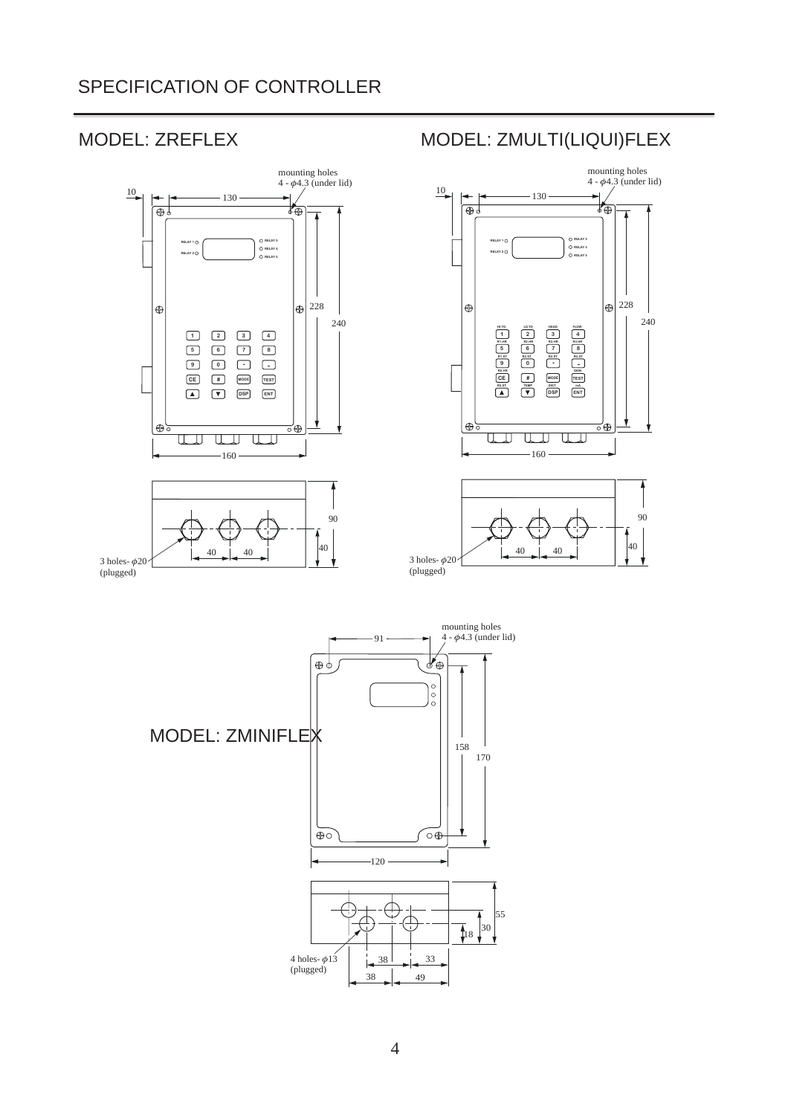# SPECIFICATION OF CONTROLLER







40

3 holes- $\phi$ 20 (plugged)

 $40$  40  $\frac{1}{2}$  40  $\frac{1}{2}$  40

(plugged)



MODEL: ZREFLEX MODEL: ZMULTI(LIQUI)FLEX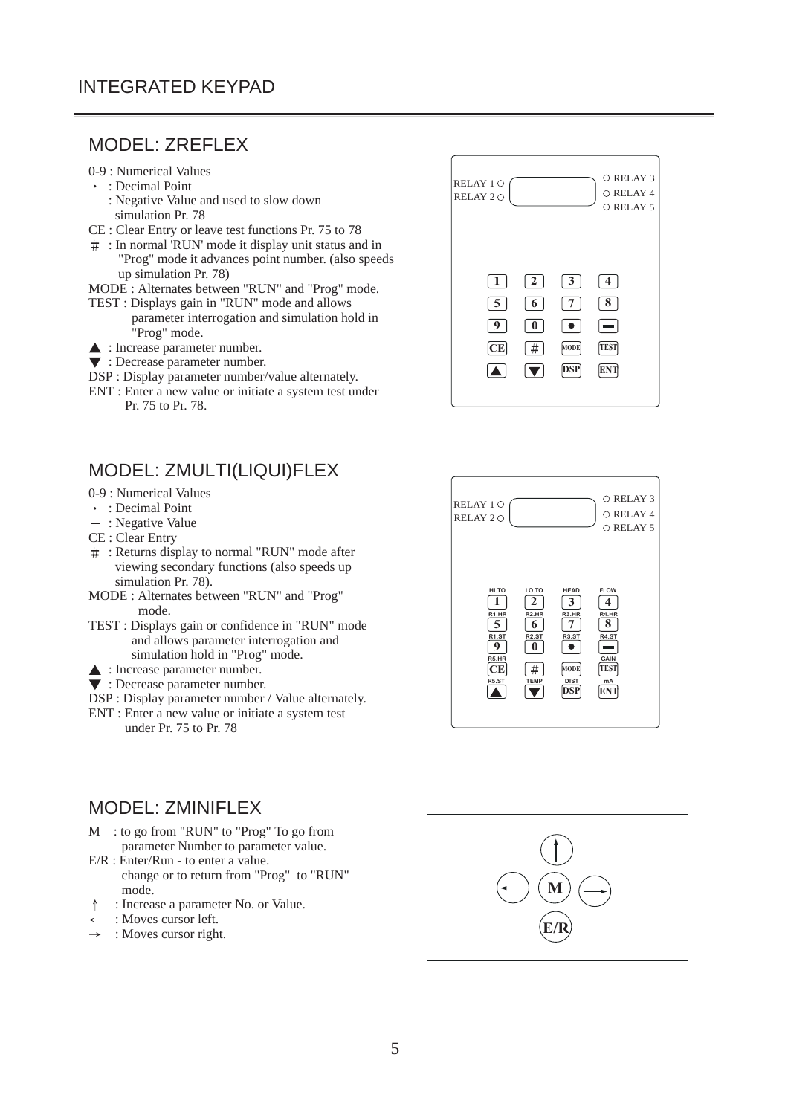## MODEL: ZREFLEX

### 0-9 : Numerical Values

- : Decimal Point
- : Negative Value and used to slow down simulation Pr. 78
- CE : Clear Entry or leave test functions Pr. 75 to 78
- : In normal 'RUN' mode it display unit status and in "Prog" mode it advances point number. (also speeds up simulation Pr. 78)
- MODE : Alternates between "RUN" and "Prog" mode.
- TEST : Displays gain in "RUN" mode and allows parameter interrogation and simulation hold in "Prog" mode.
- : Increase parameter number.
- $\blacktriangledown$ : Decrease parameter number.
- DSP : Display parameter number/value alternately.
- ENT : Enter a new value or initiate a system test under Pr. 75 to Pr. 78.

# MODEL: ZMULTI(LIQUI)FLEX

- 0-9 : Numerical Values
- : Decimal Point
- : Negative Value
- CE : Clear Entry
- : Returns display to normal "RUN" mode after viewing secondary functions (also speeds up simulation Pr. 78).
- MODE : Alternates between "RUN" and "Prog" mode.
- TEST : Displays gain or confidence in "RUN" mode and allows parameter interrogation and simulation hold in "Prog" mode.
- ▲ : Increase parameter number.
- $\blacktriangledown$ : Decrease parameter number.
- DSP : Display parameter number / Value alternately.
- ENT : Enter a new value or initiate a system test under Pr. 75 to Pr. 78

## MODEL: ZMINIFLEX

- M : to go from "RUN" to "Prog" To go from parameter Number to parameter value.
- E/R : Enter/Run to enter a value. change or to return from "Prog" to "RUN" mode.
- : Increase a parameter No. or Value.  $\uparrow$
- : Moves cursor left.
- : Moves cursor right.  $\rightarrow$





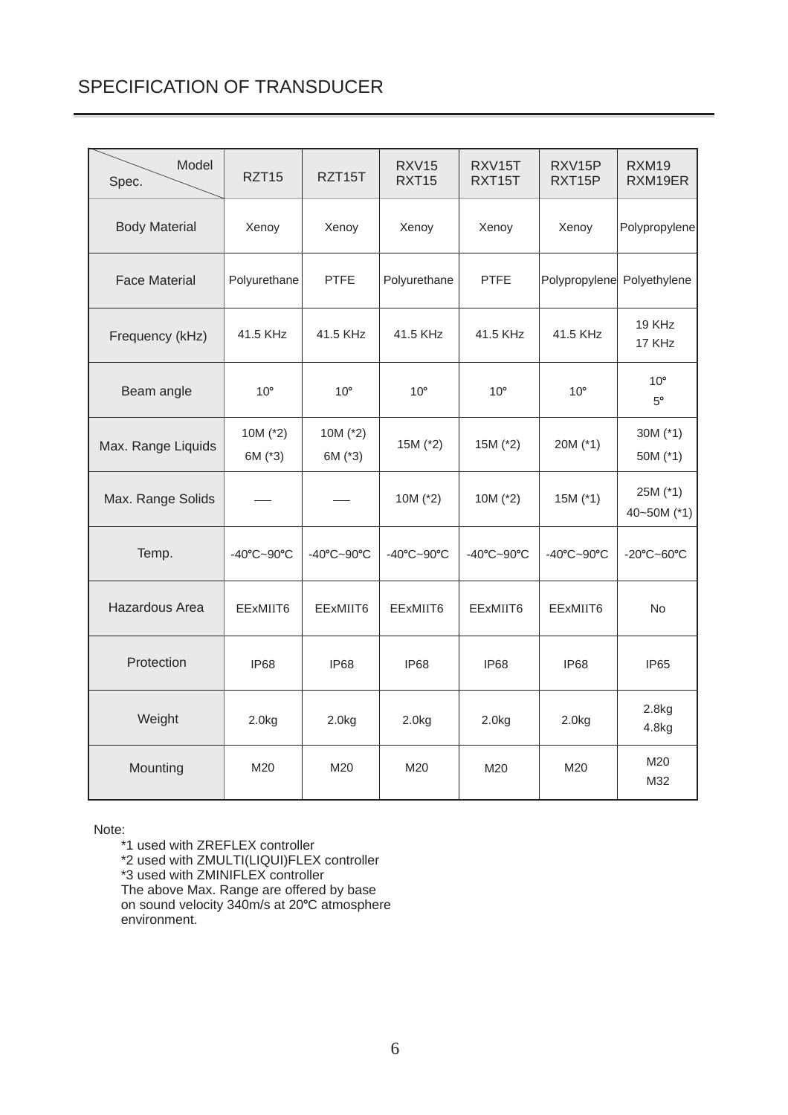# SPECIFICATION OF TRANSDUCER

| Model<br>Spec.       | RZT <sub>15</sub>     | RZT15T                | <b>RXV15</b><br>RXT15 | RXV15T<br>RXT15T | RXV15P<br>RXT15P           | <b>RXM19</b><br>RXM19ER     |
|----------------------|-----------------------|-----------------------|-----------------------|------------------|----------------------------|-----------------------------|
| <b>Body Material</b> | Xenoy                 | Xenoy                 | Xenoy                 | Xenoy            | Xenoy                      | Polypropylene               |
| <b>Face Material</b> | Polyurethane          | <b>PTFE</b>           | Polyurethane          | <b>PTFE</b>      | Polypropylene Polyethylene |                             |
| Frequency (kHz)      | 41.5 KHz              | 41.5 KHz              | 41.5 KHz              | 41.5 KHz         | 41.5 KHz                   | 19 KHz<br>17 KHz            |
| Beam angle           | $10^{\circ}$          | $10^{\circ}$          | $10^{\circ}$          | $10^{\circ}$     | $10^{\circ}$               | $10^{\circ}$<br>$5^{\circ}$ |
| Max. Range Liquids   | 10M $(*2)$<br>6M (*3) | 10M $(*2)$<br>6M (*3) | 15M (*2)              | 15M (*2)         | 20M (*1)                   | 30M (*1)<br>50M (*1)        |
| Max. Range Solids    |                       |                       | 10M $(*2)$            | 10M $(*2)$       | $15M$ ( $*1$ )             | 25M (*1)<br>40~50M (*1)     |
| Temp.                | -40°C~90°C            | -40°C~90°C            | -40°C~90°C            | -40°C~90°C       | -40°C~90°C                 | -20°C~60°C                  |
| Hazardous Area       | EExMIIT6              | EExMIIT6              | EExMIIT6              | EExMIIT6         | EExMIIT6                   | No                          |
| Protection           | IP68                  | IP68                  | <b>IP68</b>           | <b>IP68</b>      | <b>IP68</b>                | IP65                        |
| Weight               | 2.0kg                 | 2.0kg                 | 2.0kg                 | 2.0kg            | 2.0kg                      | 2.8kg<br>4.8kg              |
| Mounting             | M20                   | M20                   | M20                   | M20              | M20                        | M20<br>M32                  |

Note:

\*1 used with ZREFLEX controller \*2 used with ZMULTI(LIQUI)FLEX controller \*3 used with ZMINIFLEX controller The above Max. Range are offered by base on sound velocity 340m/s at 20°C atmosphere environment.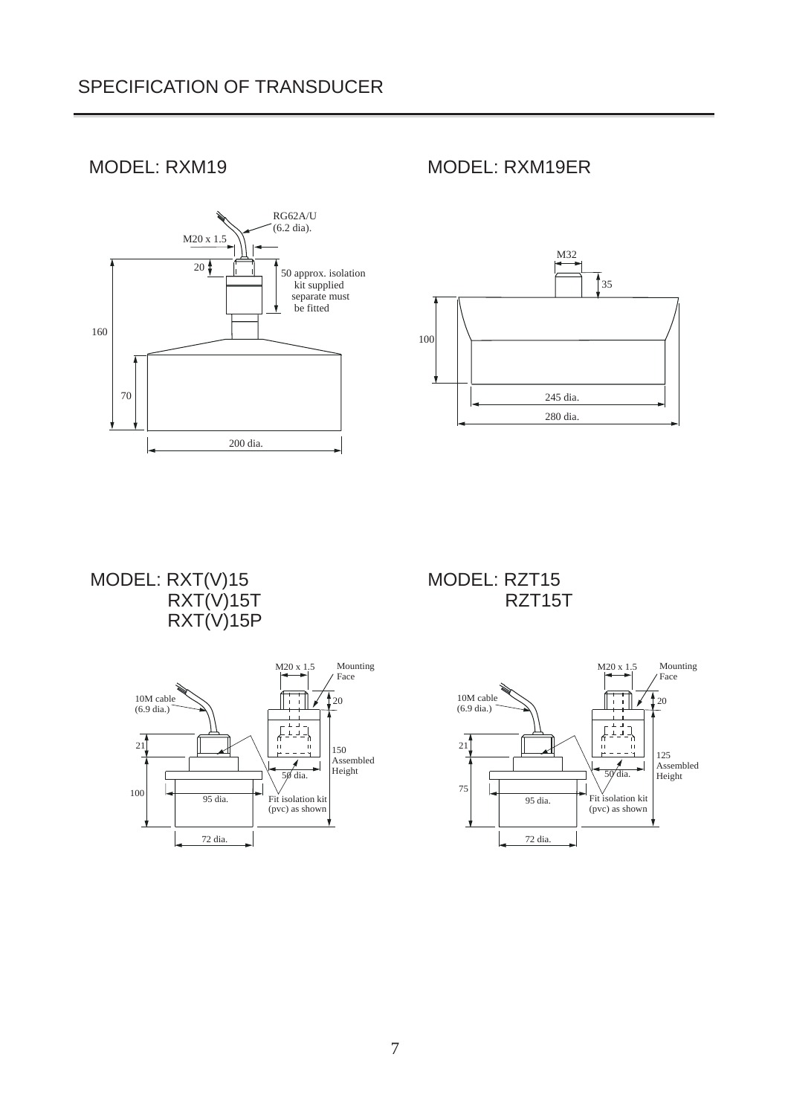# SPECIFICATION OF TRANSDUCER



# MODEL: RXM19 MODEL: RXM19ER



MODEL: RXT(V)15 RXT(V)15T RXT(V)15P



MODEL: RZT15 RZT15T